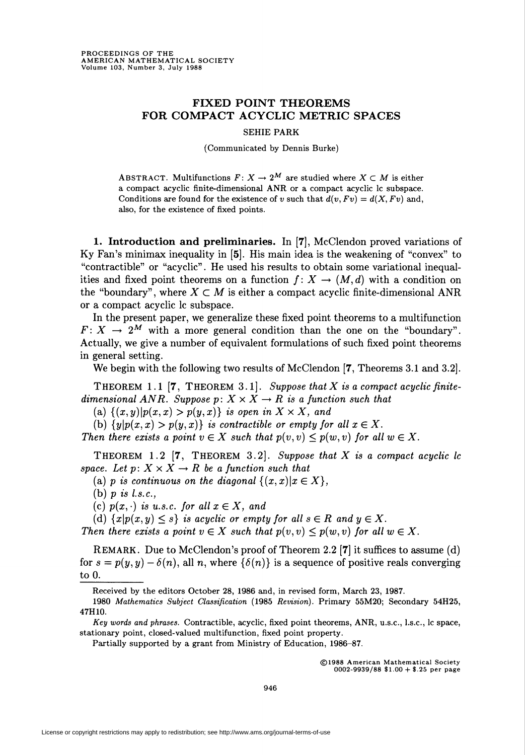## FIXED POINT THEOREMS FOR COMPACT ACYCLIC METRIC SPACES

## SEHIE PARK

(Communicated by Dennis Burke)

ABSTRACT. Multifunctions  $F: X \to 2^M$  are studied where  $X \subset M$  is either a compact acyclic finite-dimensional ANR or a compact acyclic lc subspace. Conditions are found for the existence of v such that  $d(v, Fv) = d(X, Fv)$  and, also, for the existence of fixed points.

1. Introduction and preliminaries. In [7], McClendon proved variations of Ky Fan's minimax inequality in [5]. His main idea is the weakening of "convex" to "contractible" or "acyclic". He used his results to obtain some variational inequalities and fixed point theorems on a function  $f: X \to (M,d)$  with a condition on the "boundary", where  $X \subset M$  is either a compact acyclic finite-dimensional ANR or a compact acyclic lc subspace.

In the present paper, we generalize these fixed point theorems to a multifunction  $F: X \to 2^M$  with a more general condition than the one on the "boundary". Actually, we give a number of equivalent formulations of such fixed point theorems in general setting.

We begin with the following two results of McClendon [7, Theorems 3.1 and 3.2].

THEOREM 1.1  $[7,$  THEOREM 3.1. Suppose that X is a compact acyclic finitedimensional ANR. Suppose  $p: X \times X \rightarrow R$  is a function such that

(a)  $\{(x,y)|p(x,x) > p(y,x)\}\$ is open in  $X \times X$ , and

(b)  $\{y|p(x, x) > p(y, x)\}\$ is contractible or empty for all  $x \in X$ .

Then there exists a point  $v \in X$  such that  $p(v, v) \leq p(w, v)$  for all  $w \in X$ .

THEOREM 1.2  $[7,$  THEOREM 3.2. Suppose that X is a compact acyclic lc space. Let  $p: X \times X \rightarrow R$  be a function such that

(a) p is continuous on the diagonal  $\{(x,x)|x \in X\},\$ 

(b)  $p$  is l.s.c.,

(c)  $p(x, \cdot)$  is u.s.c. for all  $x \in X$ , and

(d)  $\{x|p(x,y)\leq s\}$  is acyclic or empty for all  $s\in R$  and  $y\in X$ .

Then there exists a point  $v \in X$  such that  $p(v, v) \leq p(w, v)$  for all  $w \in X$ .

REMARK. Due to McClendon's proof of Theorem 2.2 [7] it suffices to assume (d) for  $s = p(y, y) - \delta(n)$ , all n, where  $\{\delta(n)\}\$ is a sequence of positive reals converging to  $0.$ 

Received by the editors October 28, 1986 and, in revised form, March 23, 1987.

Partially supported by a grant from Ministry of Education, 1986-87.

©1988 American Mathematical Society 0002-9939/88 \$1.00 + \$.25 per page

<sup>1980</sup> Mathematics Subject Classification (1985 Revision). Primary 55M20; Secondary 54H25, 47H10.

Key words and phrases. Contractible, acyclic, fixed point theorems, ANR, u.s.c, l.s.c, lc space, stationary point, closed-valued multifunction, fixed point property.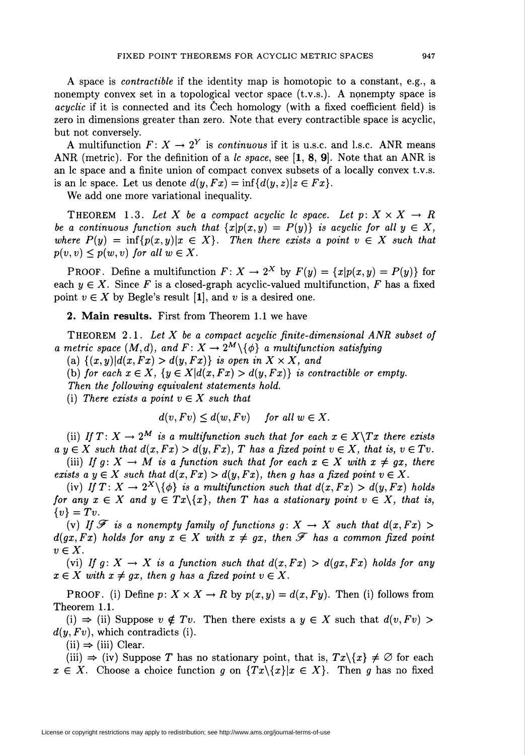A space is contractible if the identity map is homotopic to a constant, e.g., a nonempty convex set in a topological vector space (t.v.s.). A nonempty space is acyclic if it is connected and its Cech homology (with a fixed coefficient field) is zero in dimensions greater than zero. Note that every contractible space is acyclic, but not conversely.

A multifunction  $F: X \to 2^Y$  is *continuous* if it is u.s.c. and l.s.c. ANR means ANR (metric). For the definition of a lc space, see  $[1, 8, 9]$ . Note that an ANR is an lc space and a finite union of compact convex subsets of a locally convex t.v.s. is an lc space. Let us denote  $d(y, Fx) = \inf\{d(y, z)|z \in Fx\}.$ 

We add one more variational inequality.

THEOREM 1.3. Let X be a compact acyclic lc space. Let  $p: X \times X \rightarrow R$ be a continuous function such that  $\{x|p(x,y) = P(y)\}\$ is acyclic for all  $y \in X$ , where  $P(y) = \inf \{p(x,y)|x \in X\}$ . Then there exists a point  $v \in X$  such that  $p(v, v) \leq p(w, v)$  for all  $w \in X$ .

PROOF. Define a multifunction  $F: X \to 2^X$  by  $F(y) = \{x|p(x,y) = P(y)\}\$ for each  $y \in X$ . Since F is a closed-graph acyclic-valued multifunction, F has a fixed point  $v \in X$  by Begle's result [1], and v is a desired one.

2. Main results. First from Theorem 1.1 we have

THEOREM 2.1. Let  $X$  be a compact acyclic finite-dimensional ANR subset of a metric space  $(M, d)$ , and  $F: X \to 2^M \backslash \{\phi\}$  a multifunction satisfying

(a)  $\{(x,y)|d(x, Fx) > d(y, Fx)\}\$ is open in  $X \times X$ , and

(b) for each  $x \in X$ ,  $\{y \in X\vert d(x, Fx) > d(y, Fx)\}$  is contractible or empty.

Then the following equivalent statements hold.

(i) There exists a point  $v \in X$  such that

 $d(v, Fv) \leq d(w, Fv)$  for all  $w \in X$ .

(ii) If  $T: X \to 2^M$  is a multifunction such that for each  $x \in X \backslash Tx$  there exists  $a y \in X$  such that  $d(x, Fx) > d(y, Fx)$ , T has a fixed point  $v \in X$ , that is,  $v \in Tv$ .

(iii) If  $g: X \to M$  is a function such that for each  $x \in X$  with  $x \neq gx$ , there exists a  $y \in X$  such that  $d(x, Fx) > d(y, Fx)$ , then g has a fixed point  $v \in X$ .

(iv) If  $T: X \to 2^X \setminus \{\phi\}$  is a multifunction such that  $d(x, Fx) > d(y, Fx)$  holds for any  $x \in X$  and  $y \in Tx \setminus \{x\}$ , then T has a stationary point  $v \in X$ , that is,  $\{v\} = Tv.$ 

(v) If  $\mathscr F$  is a nonempty family of functions  $g: X \to X$  such that  $d(x, Fx) >$  $d(gx, Fx)$  holds for any  $x \in X$  with  $x \neq gx$ , then  $\mathscr F$  has a common fixed point  $v \in X$ .

(vi) If  $g: X \to X$  is a function such that  $d(x, Fx) > d(gx, Fx)$  holds for any  $x \in X$  with  $x \neq gx$ , then g has a fixed point  $v \in X$ .

**PROOF.** (i) Define  $p: X \times X \to R$  by  $p(x, y) = d(x, Fy)$ . Then (i) follows from Theorem 1.1.

(i)  $\Rightarrow$  (ii) Suppose  $v \notin Tv$ . Then there exists a  $y \in X$  such that  $d(v, Fv) >$  $d(y, Fv)$ , which contradicts (i).

 $(ii) \Rightarrow (iii)$  Clear.

(iii)  $\Rightarrow$  (iv) Suppose T has no stationary point, that is,  $Tx \setminus \{x\} \neq \emptyset$  for each  $x \in X$ . Choose a choice function g on  $\{Tx\setminus\{x\}|x \in X\}$ . Then g has no fixed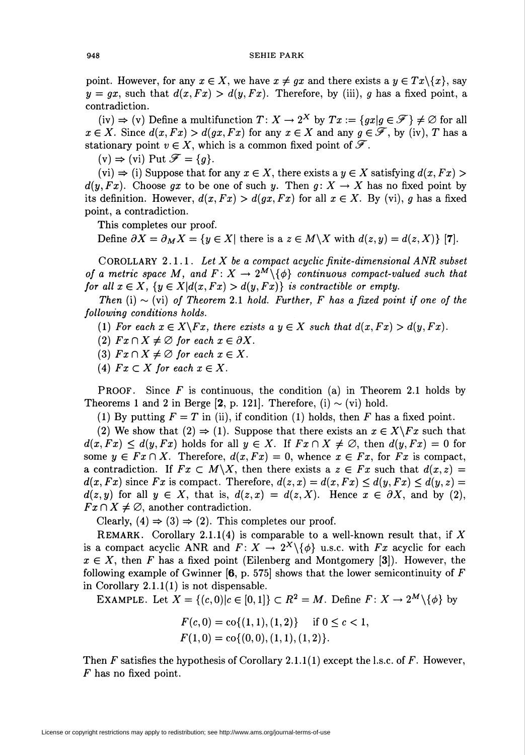point. However, for any  $x \in X$ , we have  $x \neq gx$  and there exists a  $y \in Tx\backslash\{x\}$ , say  $y = qx$ , such that  $d(x, Fx) > d(y, Fx)$ . Therefore, by (iii), g has a fixed point, a contradiction.

 $(iv) \Rightarrow (v)$  Define a multifunction  $T: X \rightarrow 2^X$  by  $Tx := \{gx | g \in \mathcal{F} \} \neq \emptyset$  for all  $x \in X$ . Since  $d(x, Fx) > d(gx, Fx)$  for any  $x \in X$  and any  $g \in \mathscr{F}$ , by (iv), T has a stationary point  $v \in X$ , which is a common fixed point of  $\mathscr{F}$ .

 $(v) \Rightarrow$  (vi) Put  $\mathscr{F} = \{g\}.$ 

 $(vi) \Rightarrow (i)$  Suppose that for any  $x \in X$ , there exists a  $y \in X$  satisfying  $d(x, Fx) >$  $d(y, Fx)$ . Choose gx to be one of such y. Then  $g: X \to X$  has no fixed point by its definition. However,  $d(x,Fx) > d(gx,Fx)$  for all  $x \in X$ . By (vi), g has a fixed point, a contradiction.

This completes our proof.

Define  $\partial X = \partial_M X = \{y \in X | \text{ there is a } z \in M \backslash X \text{ with } d(z,y) = d(z,X) \}$  [7].

COROLLARY 2.1.1. Let  $X$  be a compact acyclic finite-dimensional ANR subset of a metric space M, and  $F: X \to 2^M \setminus \{\phi\}$  continuous compact-valued such that for all  $x \in X$ ,  $\{y \in X\vert d(x,Fx) > d(y,Fx)\}$  is contractible or empty.

Then (i)  $\sim$  (vi) of Theorem 2.1 hold. Further, F has a fixed point if one of the following conditions holds.

(1) For each  $x \in X\backslash Fx$ , there exists a  $y \in X$  such that  $d(x, Fx) > d(y, Fx)$ .

- (2)  $Fx \cap X \neq \emptyset$  for each  $x \in \partial X$ .
- (3)  $Fx \cap X \neq \emptyset$  for each  $x \in X$ .
- (4)  $Fx \subset X$  for each  $x \in X$ .

**PROOF.** Since F is continuous, the condition (a) in Theorem 2.1 holds by Theorems 1 and 2 in Berge [2, p. 121]. Therefore, (i)  $\sim$  (vi) hold.

(1) By putting  $F = T$  in (ii), if condition (1) holds, then F has a fixed point.

(2) We show that (2)  $\Rightarrow$  (1). Suppose that there exists an  $x \in X\backslash Fx$  such that  $d(x,Fx) \leq d(y,Fx)$  holds for all  $y \in X$ . If  $Fx \cap X \neq \emptyset$ , then  $d(y,Fx) = 0$  for some  $y \in Fx \cap X$ . Therefore,  $d(x, Fx) = 0$ , whence  $x \in Fx$ , for  $Fx$  is compact, a contradiction. If  $Fx \subset M\backslash X$ , then there exists a  $z \in Fx$  such that  $d(x, z) =$  $d(x, Fx)$  since Fx is compact. Therefore,  $d(z, x) = d(x, Fx) \leq d(y, Fx) \leq d(y, z) =$  $d(z, y)$  for all  $y \in X$ , that is,  $d(z, x) = d(z, X)$ . Hence  $x \in \partial X$ , and by (2),  $Fx\cap X\neq\emptyset$ , another contradiction.

Clearly,  $(4) \Rightarrow (3) \Rightarrow (2)$ . This completes our proof.

REMARK. Corollary 2.1.1(4) is comparable to a well-known result that, if X is a compact acyclic ANR and  $F: X \to 2^X \setminus \{ \phi \}$  u.s.c. with  $Fx$  acyclic for each  $x \in X$ , then F has a fixed point (Eilenberg and Montgomery [3]). However, the following example of Gwinner  $[6, p. 575]$  shows that the lower semicontinuity of F in Corollary 2.1.1(1) is not dispensable.

EXAMPLE. Let  $X = \{(c,0) | c \in [0,1] \} \subset R^2 = M$ . Define  $F: X \to 2^M \setminus \{\phi\}$  by

$$
F(c, 0) = \text{co}\{(1, 1), (1, 2)\} \quad \text{if } 0 \le c < 1,
$$
\n
$$
F(1, 0) = \text{co}\{(0, 0), (1, 1), (1, 2)\}.
$$

Then F satisfies the hypothesis of Corollary 2.1.1(1) except the l.s.c. of F. However, P has no fixed point.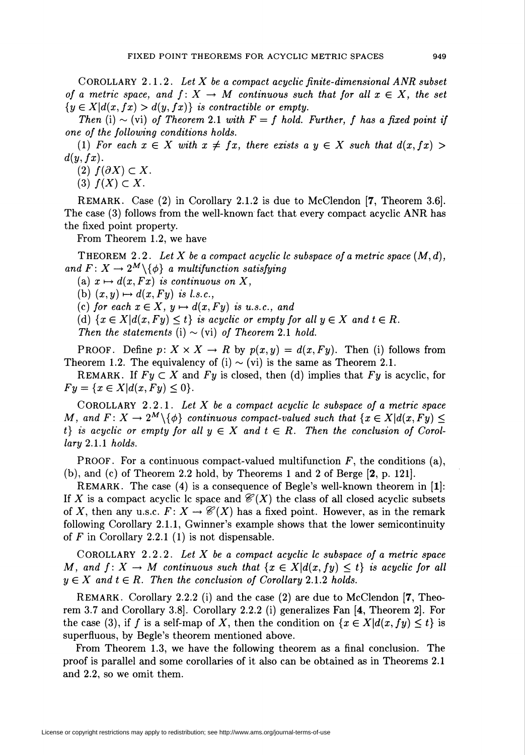COROLLARY 2.1.2. Let X be a compact acyclic finite-dimensional ANR subset of a metric space, and  $f: X \to M$  continuous such that for all  $x \in X$ , the set  $\{y \in X | d(x,fx) > d(y,fx)\}\$ is contractible or empty.

Then (i)  $\sim$  (vi) of Theorem 2.1 with  $F = f$  hold. Further, f has a fixed point if one of the following conditions holds.

(1) For each  $x \in X$  with  $x \neq fx$ , there exists a  $y \in X$  such that  $d(x,fx) >$  $d(y,fx)$ .

(2)  $f(\partial X) \subset X$ .

(3)  $f(X) \subset X$ .

REMARK. Case (2) in Corollary 2.1.2 is due to McClendon [7, Theorem 3.6]. The case (3) follows from the well-known fact that every compact acyclic ANR has the fixed point property.

From Theorem 1.2, we have

THEOREM 2.2. Let X be a compact acyclic lc subspace of a metric space  $(M, d)$ , and  $F: X \to 2^M \setminus \{\phi\}$  a multifunction satisfying

(a)  $x \mapsto d(x, Fx)$  is continuous on X,

(b)  $(x, y) \mapsto d(x, Fy)$  is l.s.c.,

(c) for each  $x \in X$ ,  $y \mapsto d(x, Fy)$  is u.s.c., and

(d)  $\{x \in X | d(x, F_y) \leq t\}$  is acyclic or empty for all  $y \in X$  and  $t \in R$ .

Then the statements (i)  $\sim$  (vi) of Theorem 2.1 hold.

PROOF. Define  $p: X \times X \to R$  by  $p(x, y) = d(x, F_y)$ . Then (i) follows from Theorem 1.2. The equivalency of (i)  $\sim$  (vi) is the same as Theorem 2.1.

REMARK. If  $Fy \subset X$  and  $Fy$  is closed, then (d) implies that  $Fy$  is acyclic, for  $Fy = \{x \in X | d(x, Fy) \le 0\}.$ 

COROLLARY 2.2.1. Let  $X$  be a compact acyclic lc subspace of a metric space M, and  $F: X \to 2^M \setminus \{\phi\}$  continuous compact-valued such that  $\{x \in X | d(x, F_y) \leq \phi\}$ t) is acyclic or empty for all  $y \in X$  and  $t \in R$ . Then the conclusion of Corollary 2.1.1 holds.

**PROOF.** For a continuous compact-valued multifunction  $F$ , the conditions (a), (b), and (c) of Theorem 2.2 hold, by Theorems 1 and 2 of Berge [2, p. 121].

REMARK. The case (4) is a consequence of Begle's well-known theorem in [1]: If X is a compact acyclic lc space and  $\mathcal{C}(X)$  the class of all closed acyclic subsets of X, then any u.s.c.  $F: X \to \mathcal{C}(X)$  has a fixed point. However, as in the remark following Corollary 2.1.1, Gwinner's example shows that the lower semicontinuity of  $F$  in Corollary 2.2.1 (1) is not dispensable.

COROLLARY 2.2.2. Let  $X$  be a compact acyclic lc subspace of a metric space M, and  $f: X \to M$  continuous such that  $\{x \in X | d(x, fy) \leq t\}$  is acyclic for all  $y \in X$  and  $t \in R$ . Then the conclusion of Corollary 2.1.2 holds.

REMARK. Corollary 2.2.2 (i) and the case (2) are due to McClendon [7, Theorem 3.7 and Corollary 3.8]. Corollary 2.2.2 (i) generalizes Fan [4, Theorem 2]. For the case (3), if f is a self-map of X, then the condition on  $\{x \in X | d(x, fy) \le t\}$  is superfluous, by Begle's theorem mentioned above.

From Theorem 1.3, we have the following theorem as a final conclusion. The proof is parallel and some corollaries of it also can be obtained as in Theorems 2.1 and 2.2, so we omit them.